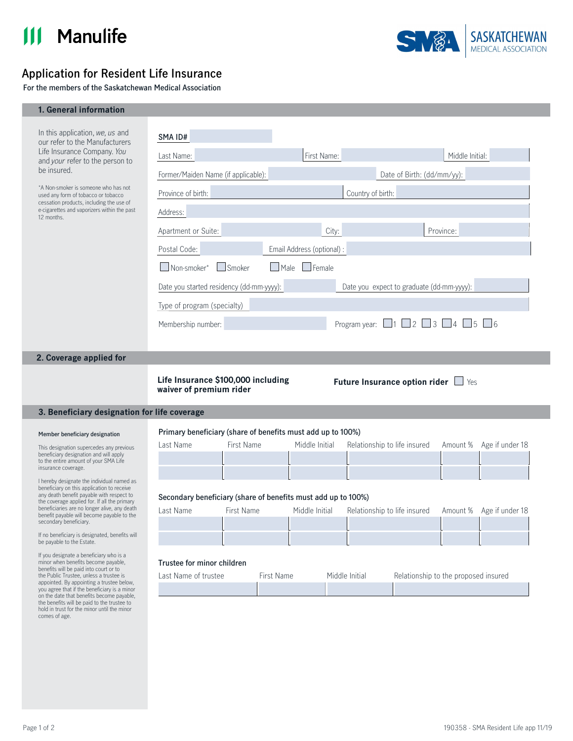

**1. General information**



# **Application for Resident Life Insurance**

**For the members of the Saskatchewan Medical Association**

| In this application, we, us and<br>our refer to the Manufacturers<br>Life Insurance Company. You<br>and your refer to the person to<br>be insured.                                   | SMA ID#                                  |                            |                                                                     |  |
|--------------------------------------------------------------------------------------------------------------------------------------------------------------------------------------|------------------------------------------|----------------------------|---------------------------------------------------------------------|--|
|                                                                                                                                                                                      | Last Name:                               | First Name:                | Middle Initial:                                                     |  |
|                                                                                                                                                                                      | Former/Maiden Name (if applicable):      |                            | Date of Birth: (dd/mm/yy):                                          |  |
| *A Non-smoker is someone who has not<br>used any form of tobacco or tobacco<br>cessation products, including the use of<br>e-cigarettes and vaporizers within the past<br>12 months. | Province of birth:                       |                            | Country of birth:                                                   |  |
|                                                                                                                                                                                      | Address:                                 |                            |                                                                     |  |
|                                                                                                                                                                                      | Apartment or Suite:                      | City:                      | Province:                                                           |  |
|                                                                                                                                                                                      | Postal Code:                             | Email Address (optional) : |                                                                     |  |
|                                                                                                                                                                                      | Non-smoker* Smoker                       | $\Box$ Male $\Box$ Female  |                                                                     |  |
|                                                                                                                                                                                      | Date you started residency (dd-mm-yyyy): |                            | Date you expect to graduate (dd-mm-yyyy):                           |  |
|                                                                                                                                                                                      | Type of program (specialty)              |                            |                                                                     |  |
|                                                                                                                                                                                      | Membership number:                       |                            | Program year: $\Box$ 1 $\Box$ 2 $\Box$ 3 $\Box$ 4 $\Box$ 5 $\Box$ 6 |  |
|                                                                                                                                                                                      |                                          |                            |                                                                     |  |

# **2. Coverage applied for**

**Life Insurance \$100,000 including** 

**Future Insurance option rider Future Insurance option rider** 

## **3. Beneficiary designation for life coverage**

#### **Member beneficiary designation**

This designation supercedes any previous beneficiary designation and will apply to the entire amount of your SMA Life insurance coverage.

I hereby designate the individual named as beneficiary on this application to receive any death benefit payable with respect to the coverage applied for. If all the primary beneficiaries are no longer alive, any death benefit payable will become payable to the secondary beneficiary.

If no beneficiary is designated, benefits will be payable to the Estate.

If you designate a beneficiary who is a minor when benefits become payable, benefits will be paid into court or to the Public Trustee, unless a trustee is appointed. By appointing a trustee below, you agree that if the beneficiary is a minor on the date that benefits become payable, the benefits will be paid to the trustee to hold in trust for the minor until the minor comes of age.

# **Primary beneficiary (share of benefits must add up to 100%)**

| Last Name | First Name | Middle Initial | Relationship to life insured | Amount % Age if under 18 |
|-----------|------------|----------------|------------------------------|--------------------------|
|           |            |                |                              |                          |
|           |            |                |                              |                          |

#### **Secondary beneficiary (share of benefits must add up to 100%)**

| Last Name | First Name | Middle Initial | Relationship to life insured | Amount % Age if under 18 |
|-----------|------------|----------------|------------------------------|--------------------------|
|           |            |                |                              |                          |
|           |            |                |                              |                          |

#### **Trustee for minor children**

| Last Name of trustee | First Name | Middle Initial | Relationship to the proposed insured |
|----------------------|------------|----------------|--------------------------------------|
|                      |            |                |                                      |